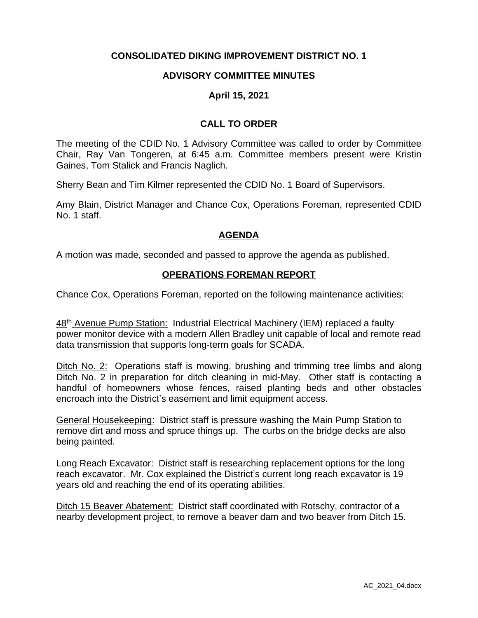# **CONSOLIDATED DIKING IMPROVEMENT DISTRICT NO. 1**

### **ADVISORY COMMITTEE MINUTES**

### **April 15, 2021**

## **CALL TO ORDER**

The meeting of the CDID No. 1 Advisory Committee was called to order by Committee Chair, Ray Van Tongeren, at 6:45 a.m. Committee members present were Kristin Gaines, Tom Stalick and Francis Naglich.

Sherry Bean and Tim Kilmer represented the CDID No. 1 Board of Supervisors.

Amy Blain, District Manager and Chance Cox, Operations Foreman, represented CDID No. 1 staff.

#### **AGENDA**

A motion was made, seconded and passed to approve the agenda as published.

#### **OPERATIONS FOREMAN REPORT**

Chance Cox, Operations Foreman, reported on the following maintenance activities:

48<sup>th</sup> Avenue Pump Station: Industrial Electrical Machinery (IEM) replaced a faulty power monitor device with a modern Allen Bradley unit capable of local and remote read data transmission that supports long-term goals for SCADA.

Ditch No. 2: Operations staff is mowing, brushing and trimming tree limbs and along Ditch No. 2 in preparation for ditch cleaning in mid-May. Other staff is contacting a handful of homeowners whose fences, raised planting beds and other obstacles encroach into the District's easement and limit equipment access.

General Housekeeping: District staff is pressure washing the Main Pump Station to remove dirt and moss and spruce things up. The curbs on the bridge decks are also being painted.

Long Reach Excavator: District staff is researching replacement options for the long reach excavator. Mr. Cox explained the District's current long reach excavator is 19 years old and reaching the end of its operating abilities.

Ditch 15 Beaver Abatement: District staff coordinated with Rotschy, contractor of a nearby development project, to remove a beaver dam and two beaver from Ditch 15.